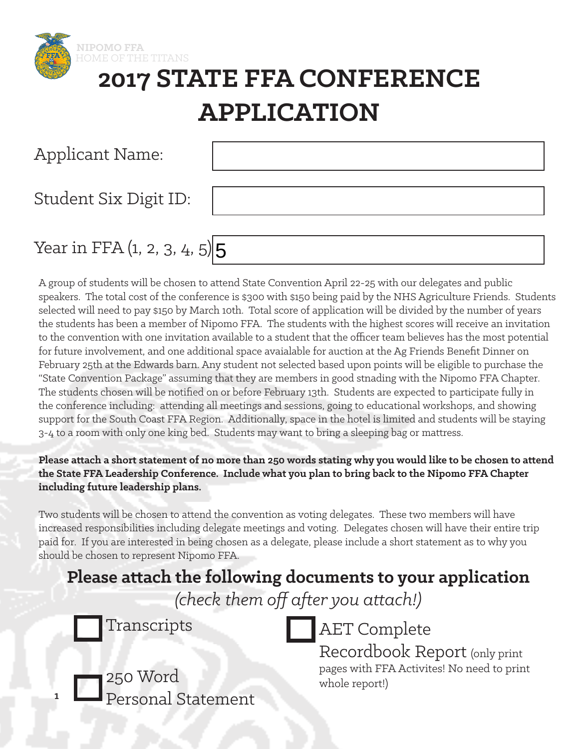

## **2017 STATE FFA CONFERENCE APPLICATION**

| <b>Applicant Name:</b>          |  |
|---------------------------------|--|
| Student Six Digit ID:           |  |
| Year in FFA $(1, 2, 3, 4, 5)$ 5 |  |

A group of students will be chosen to attend State Convention April 22-25 with our delegates and public speakers. The total cost of the conference is \$300 with \$150 being paid by the NHS Agriculture Friends. Students selected will need to pay \$150 by March 10th. Total score of application will be divided by the number of years the students has been a member of Nipomo FFA. The students with the highest scores will receive an invitation to the convention with one invitation available to a student that the officer team believes has the most potential for future involvement, and one additional space avaialable for auction at the Ag Friends Benefit Dinner on February 25th at the Edwards barn. Any student not selected based upon points will be eligible to purchase the "State Convention Package" assuming that they are members in good stnading with the Nipomo FFA Chapter. The students chosen will be notified on or before February 13th. Students are expected to participate fully in the conference including: attending all meetings and sessions, going to educational workshops, and showing support for the South Coast FFA Region. Additionally, space in the hotel is limited and students will be staying 3-4 to a room with only one king bed. Students may want to bring a sleeping bag or mattress.

#### **Please attach a short statement of no more than 250 words stating why you would like to be chosen to attend the State FFA Leadership Conference. Include what you plan to bring back to the Nipomo FFA Chapter including future leadership plans.**

Two students will be chosen to attend the convention as voting delegates. These two members will have increased responsibilities including delegate meetings and voting. Delegates chosen will have their entire trip paid for. If you are interested in being chosen as a delegate, please include a short statement as to why you should be chosen to represent Nipomo FFA.

### **Please attach the following documents to your application**

*(check them off after you attach!)*

250 Word

Personal Statement

**1**



Recordbook Report (only print pages with FFA Activites! No need to print whole report!)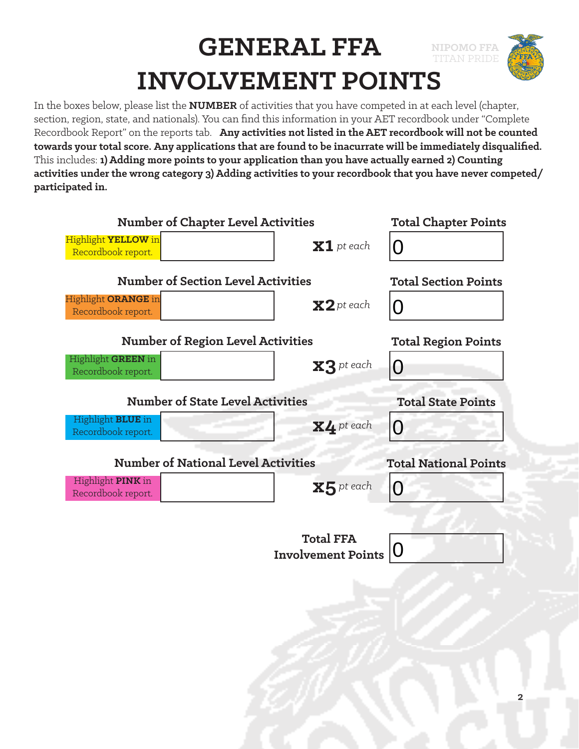# **NIPOMO FFA GENERAL FFA** TITAN PRIDE **INVOLVEMENT POINTS**

In the boxes below, please list the **NUMBER** of activities that you have competed in at each level (chapter, section, region, state, and nationals). You can find this information in your AET recordbook under "Complete Recordbook Report" on the reports tab. **Any activities not listed in the AET recordbook will not be counted towards your total score. Any applications that are found to be inacurrate will be immediately disqualified.**  This includes: **1) Adding more points to your application than you have actually earned 2) Counting activities under the wrong category 3) Adding activities to your recordbook that you have never competed/ participated in.**

| <b>Number of Chapter Level Activities</b>        |                                            | <b>Total Chapter Points</b> |                              |
|--------------------------------------------------|--------------------------------------------|-----------------------------|------------------------------|
| Highlight YELLOW in<br>Recordbook report.        |                                            | $\mathbf{X}$ 1 pt each      | $\mathbf{\Omega}$            |
|                                                  | <b>Number of Section Level Activities</b>  |                             | <b>Total Section Points</b>  |
| Highlight <b>ORANGE</b> in<br>Recordbook report. |                                            | $\mathbf{X2}$ pt each       | ( )                          |
|                                                  | <b>Number of Region Level Activities</b>   |                             | <b>Total Region Points</b>   |
| Highlight <b>GREEN</b> in<br>Recordbook report.  |                                            | $X3$ pt each                | O                            |
|                                                  | <b>Number of State Level Activities</b>    |                             | <b>Total State Points</b>    |
| Highlight <b>BLUE</b> in<br>Recordbook report.   |                                            | $X4$ pt each                | O                            |
|                                                  |                                            |                             |                              |
|                                                  | <b>Number of National Level Activities</b> |                             | <b>Total National Points</b> |
| Highlight <b>PINK</b> in<br>Recordbook report.   |                                            | ${\bf x}$ 5 pt each         | $\Omega$                     |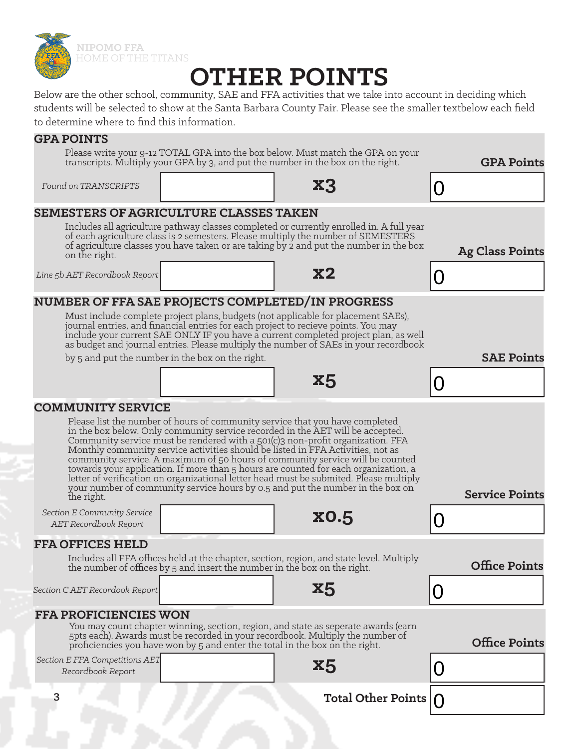

**NIPOMO FFA** HOME OF THE TITANS

## **OTHER POINTS**

Below are the other school, community, SAE and FFA activities that we take into account in deciding which students will be selected to show at the Santa Barbara County Fair. Please see the smaller textbelow each field to determine where to find this information.

#### **GPA POINTS**

Please write your 9-12 TOTAL GPA into the box below. Must match the GPA on your transcripts. Multiply your GPA by 3, and put the number in the box on the right.

 $Found$  on TRANSCRIPTS

**GPA Points**

**Ag Class Points**

0

0

**SAE Points**

| <b>SEMESTERS OF AGRICULTURE CLASSES TAKEN</b> |  |  |
|-----------------------------------------------|--|--|
|                                               |  |  |

| Includes all agriculture pathway classes completed or currently enrolled in. A full year                                                                                    |
|-----------------------------------------------------------------------------------------------------------------------------------------------------------------------------|
| of each agriculture class is 2 semesters. Please multiply the number of SEMESTERS<br>of agriculture classes you have taken or are taking by 2 and put the number in the box |
| on the right.                                                                                                                                                               |

*Line 5b AET Recordbook Report* **x2**

### **NUMBER OF FFA SAE PROJECTS COMPLETED/IN PROGRESS**

Must include complete project plans, budgets (not applicable for placement SAEs), journal entries, and financial entries for each project to recieve points. You may include your current SAE ONLY IF you have a current completed project plan, as well as budget and journal entries. Please multiply the number of SAEs in your recordbook

by 5 and put the number in the box on the right.

| ee a |  |
|------|--|
|------|--|

#### **COMMUNITY SERVICE**

| Please list the number of hours of community service that you have completed<br>in the box below. Only community service recorded in the AET will be accepted.<br>Community service must be rendered with a 501(c)3 non-profit organization. FFA<br>Monthly community service activities should be listed in FFA Activities, not as<br>community service. A maximum of 50 hours of community service will be counted<br>towards your application. If more than 5 hours are counted for each organization, a<br>letter of verification on organizational letter head must be submited. Please multiply<br>your number of community service hours by 0.5 and put the number in the box on<br>the right. | <b>Service Points</b> |
|-------------------------------------------------------------------------------------------------------------------------------------------------------------------------------------------------------------------------------------------------------------------------------------------------------------------------------------------------------------------------------------------------------------------------------------------------------------------------------------------------------------------------------------------------------------------------------------------------------------------------------------------------------------------------------------------------------|-----------------------|
| <b>Section E Community Service</b><br><b>x0.5</b><br>AET Recordbook Report                                                                                                                                                                                                                                                                                                                                                                                                                                                                                                                                                                                                                            |                       |
| <b>FFA OFFICES HELD</b>                                                                                                                                                                                                                                                                                                                                                                                                                                                                                                                                                                                                                                                                               |                       |
| Includes all FFA offices held at the chapter, section, region, and state level. Multiply<br>the number of offices by 5 and insert the number in the box on the right.                                                                                                                                                                                                                                                                                                                                                                                                                                                                                                                                 | <b>Office Points</b>  |
| <b>X5</b><br>Section CAET Recordook Report                                                                                                                                                                                                                                                                                                                                                                                                                                                                                                                                                                                                                                                            |                       |
| <b>FFA PROFICIENCIES WON</b>                                                                                                                                                                                                                                                                                                                                                                                                                                                                                                                                                                                                                                                                          |                       |
| You may count chapter winning, section, region, and state as seperate awards (earn<br>5pts each). Awards must be recorded in your recordbook. Multiply the number of<br>proficiencies you have won by 5 and enter the total in the box on the right.                                                                                                                                                                                                                                                                                                                                                                                                                                                  | <b>Office Points</b>  |
| Section E FFA Competitions AET<br>X5<br>Recordbook Report                                                                                                                                                                                                                                                                                                                                                                                                                                                                                                                                                                                                                                             |                       |
| <b>Total Other Points</b>                                                                                                                                                                                                                                                                                                                                                                                                                                                                                                                                                                                                                                                                             |                       |